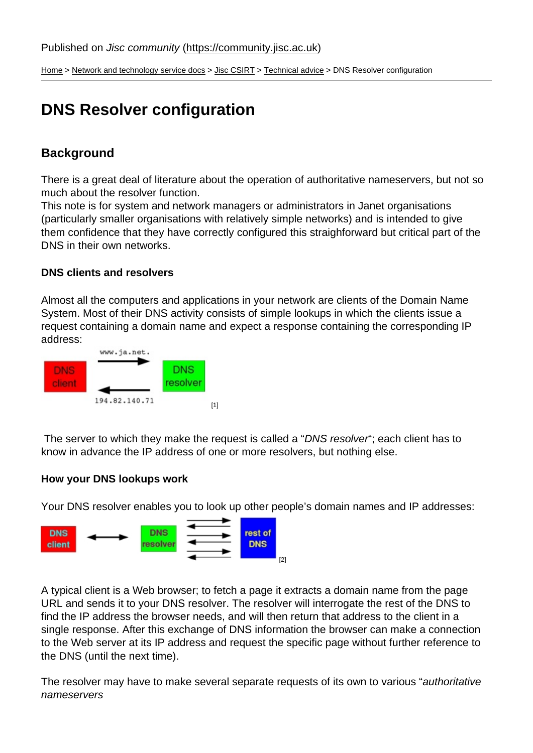[Home](https://community.jisc.ac.uk/) > [Network and technology service docs](https://community.jisc.ac.uk/library/janet-services-documentation) > [Jisc CSIRT](https://community.jisc.ac.uk/library/janet-services-documentation/janet-csirt) > [Technical advice](https://community.jisc.ac.uk/library/janet-services-documentation/technical-advice) > DNS Resolver configuration

# DNS Resolver configuration

# **Background**

There is a great deal of literature about the operation of authoritative nameservers, but not so much about the resolver function.

This note is for system and network managers or administrators in Janet organisations (particularly smaller organisations with relatively simple networks) and is intended to give them confidence that they have correctly configured this straighforward but critical part of the DNS in their own networks.

DNS clients and resolvers

Almost all the computers and applications in your network are clients of the Domain Name System. Most of their DNS activity consists of simple lookups in which the clients issue a request containing a domain name and expect a response containing the corresponding IP address:

[1]

 The server to which they make the request is called a "DNS resolver"; each client has to know in advance the IP address of one or more resolvers, but nothing else.

How your DNS lookups work

Your DNS resolver enables you to look up other people's domain names and IP addresses:

[2]

A typical client is a Web browser; to fetch a page it extracts a domain name from the page URL and sends it to your DNS resolver. The resolver will interrogate the rest of the DNS to find the IP address the browser needs, and will then return that address to the client in a single response. After this exchange of DNS information the browser can make a connection to the Web server at its IP address and request the specific page without further reference to the DNS (until the next time).

The resolver may have to make several separate requests of its own to various "authoritative nameservers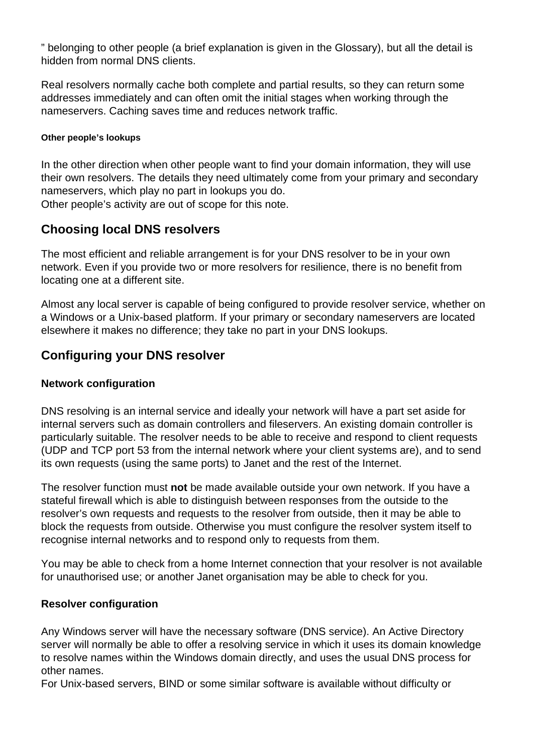" belonging to other people (a brief explanation is given in the Glossary), but all the detail is hidden from normal DNS clients.

Real resolvers normally cache both complete and partial results, so they can return some addresses immediately and can often omit the initial stages when working through the nameservers. Caching saves time and reduces network traffic.

#### **Other people's lookups**

In the other direction when other people want to find your domain information, they will use their own resolvers. The details they need ultimately come from your primary and secondary nameservers, which play no part in lookups you do.

Other people's activity are out of scope for this note.

# **Choosing local DNS resolvers**

The most efficient and reliable arrangement is for your DNS resolver to be in your own network. Even if you provide two or more resolvers for resilience, there is no benefit from locating one at a different site.

Almost any local server is capable of being configured to provide resolver service, whether on a Windows or a Unix-based platform. If your primary or secondary nameservers are located elsewhere it makes no difference; they take no part in your DNS lookups.

# **Configuring your DNS resolver**

#### **Network configuration**

DNS resolving is an internal service and ideally your network will have a part set aside for internal servers such as domain controllers and fileservers. An existing domain controller is particularly suitable. The resolver needs to be able to receive and respond to client requests (UDP and TCP port 53 from the internal network where your client systems are), and to send its own requests (using the same ports) to Janet and the rest of the Internet.

The resolver function must **not** be made available outside your own network. If you have a stateful firewall which is able to distinguish between responses from the outside to the resolver's own requests and requests to the resolver from outside, then it may be able to block the requests from outside. Otherwise you must configure the resolver system itself to recognise internal networks and to respond only to requests from them.

You may be able to check from a home Internet connection that your resolver is not available for unauthorised use; or another Janet organisation may be able to check for you.

#### **Resolver configuration**

Any Windows server will have the necessary software (DNS service). An Active Directory server will normally be able to offer a resolving service in which it uses its domain knowledge to resolve names within the Windows domain directly, and uses the usual DNS process for other names.

For Unix-based servers, BIND or some similar software is available without difficulty or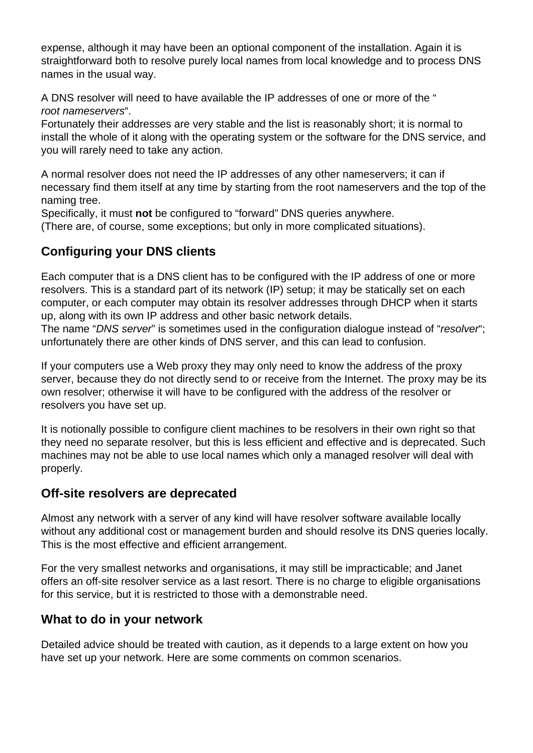expense, although it may have been an optional component of the installation. Again it is straightforward both to resolve purely local names from local knowledge and to process DNS names in the usual way.

A DNS resolver will need to have available the IP addresses of one or more of the " root nameservers".

Fortunately their addresses are very stable and the list is reasonably short; it is normal to install the whole of it along with the operating system or the software for the DNS service, and you will rarely need to take any action.

A normal resolver does not need the IP addresses of any other nameservers; it can if necessary find them itself at any time by starting from the root nameservers and the top of the naming tree.

Specifically, it must **not** be configured to "forward" DNS queries anywhere.

(There are, of course, some exceptions; but only in more complicated situations).

# **Configuring your DNS clients**

Each computer that is a DNS client has to be configured with the IP address of one or more resolvers. This is a standard part of its network (IP) setup; it may be statically set on each computer, or each computer may obtain its resolver addresses through DHCP when it starts up, along with its own IP address and other basic network details.

The name "DNS server" is sometimes used in the configuration dialogue instead of "resolver"; unfortunately there are other kinds of DNS server, and this can lead to confusion.

If your computers use a Web proxy they may only need to know the address of the proxy server, because they do not directly send to or receive from the Internet. The proxy may be its own resolver; otherwise it will have to be configured with the address of the resolver or resolvers you have set up.

It is notionally possible to configure client machines to be resolvers in their own right so that they need no separate resolver, but this is less efficient and effective and is deprecated. Such machines may not be able to use local names which only a managed resolver will deal with properly.

## **Off-site resolvers are deprecated**

Almost any network with a server of any kind will have resolver software available locally without any additional cost or management burden and should resolve its DNS queries locally. This is the most effective and efficient arrangement.

For the very smallest networks and organisations, it may still be impracticable; and Janet offers an off-site resolver service as a last resort. There is no charge to eligible organisations for this service, but it is restricted to those with a demonstrable need.

# **What to do in your network**

Detailed advice should be treated with caution, as it depends to a large extent on how you have set up your network. Here are some comments on common scenarios.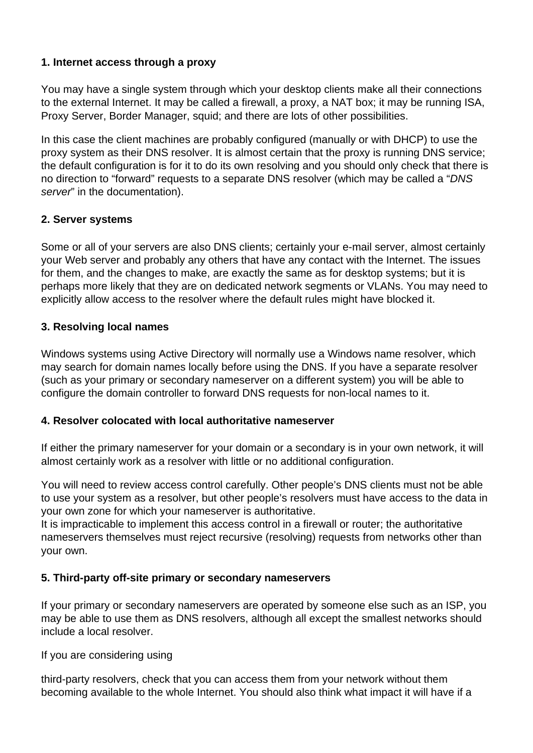#### **1. Internet access through a proxy**

You may have a single system through which your desktop clients make all their connections to the external Internet. It may be called a firewall, a proxy, a NAT box; it may be running ISA, Proxy Server, Border Manager, squid; and there are lots of other possibilities.

In this case the client machines are probably configured (manually or with DHCP) to use the proxy system as their DNS resolver. It is almost certain that the proxy is running DNS service; the default configuration is for it to do its own resolving and you should only check that there is no direction to "forward" requests to a separate DNS resolver (which may be called a "DNS server" in the documentation).

### **2. Server systems**

Some or all of your servers are also DNS clients; certainly your e-mail server, almost certainly your Web server and probably any others that have any contact with the Internet. The issues for them, and the changes to make, are exactly the same as for desktop systems; but it is perhaps more likely that they are on dedicated network segments or VLANs. You may need to explicitly allow access to the resolver where the default rules might have blocked it.

#### **3. Resolving local names**

Windows systems using Active Directory will normally use a Windows name resolver, which may search for domain names locally before using the DNS. If you have a separate resolver (such as your primary or secondary nameserver on a different system) you will be able to configure the domain controller to forward DNS requests for non-local names to it.

#### **4. Resolver colocated with local authoritative nameserver**

If either the primary nameserver for your domain or a secondary is in your own network, it will almost certainly work as a resolver with little or no additional configuration.

You will need to review access control carefully. Other people's DNS clients must not be able to use your system as a resolver, but other people's resolvers must have access to the data in your own zone for which your nameserver is authoritative.

It is impracticable to implement this access control in a firewall or router; the authoritative nameservers themselves must reject recursive (resolving) requests from networks other than your own.

#### **5. Third-party off-site primary or secondary nameservers**

If your primary or secondary nameservers are operated by someone else such as an ISP, you may be able to use them as DNS resolvers, although all except the smallest networks should include a local resolver.

If you are considering using

third-party resolvers, check that you can access them from your network without them becoming available to the whole Internet. You should also think what impact it will have if a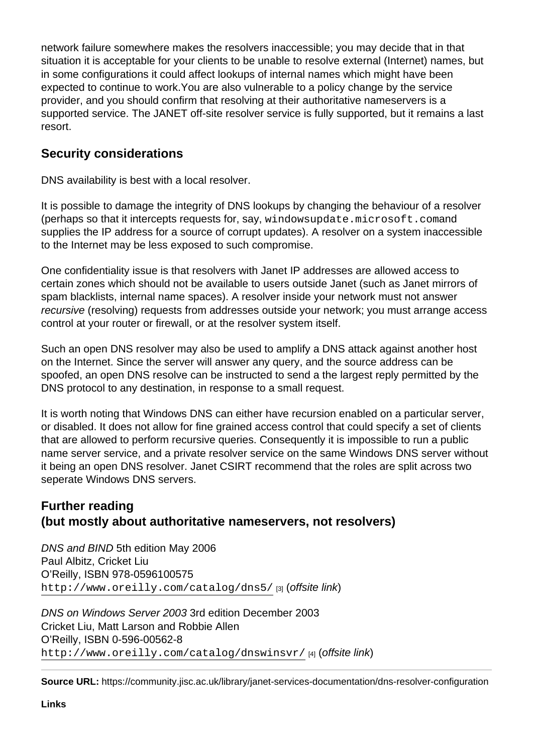network failure somewhere makes the resolvers inaccessible; you may decide that in that situation it is acceptable for your clients to be unable to resolve external (Internet) names, but in some configurations it could affect lookups of internal names which might have been expected to continue to work.You are also vulnerable to a policy change by the service provider, and you should confirm that resolving at their authoritative nameservers is a supported service. The JANET off-site resolver service is fully supported, but it remains a last resort.

## Security considerations

DNS availability is best with a local resolver.

It is possible to damage the integrity of DNS lookups by changing the behaviour of a resolver (perhaps so that it intercepts requests for, say, windowsupdate.microsoft.com and supplies the IP address for a source of corrupt updates). A resolver on a system inaccessible to the Internet may be less exposed to such compromise.

One confidentiality issue is that resolvers with Janet IP addresses are allowed access to certain zones which should not be available to users outside Janet (such as Janet mirrors of spam blacklists, internal name spaces). A resolver inside your network must not answer recursive (resolving) requests from addresses outside your network; you must arrange access control at your router or firewall, or at the resolver system itself.

Such an open DNS resolver may also be used to amplify a DNS attack against another host on the Internet. Since the server will answer any query, and the source address can be spoofed, an open DNS resolve can be instructed to send a the largest reply permitted by the DNS protocol to any destination, in response to a small request.

It is worth noting that Windows DNS can either have recursion enabled on a particular server, or disabled. It does not allow for fine grained access control that could specify a set of clients that are allowed to perform recursive queries. Consequently it is impossible to run a public name server service, and a private resolver service on the same Windows DNS server without it being an open DNS resolver. Janet CSIRT recommend that the roles are split across two seperate Windows DNS servers.

Further reading (but mostly about authoritative nameservers, not resolvers)

DNS and BIND 5th edition May 2006 Paul Albitz, Cricket Liu O'Reilly, ISBN 978-0596100575 <http://www.oreilly.com/catalog/dns5/> [3] (offsite link)

DNS on Windows Server 2003 3rd edition December 2003 Cricket Liu, Matt Larson and Robbie Allen O'Reilly, ISBN 0-596-00562-8 <http://www.oreilly.com/catalog/dnswinsvr/> [4] (offsite link)

Source URL: https://community.jisc.ac.uk/library/janet-services-documentation/dns-resolver-configuration